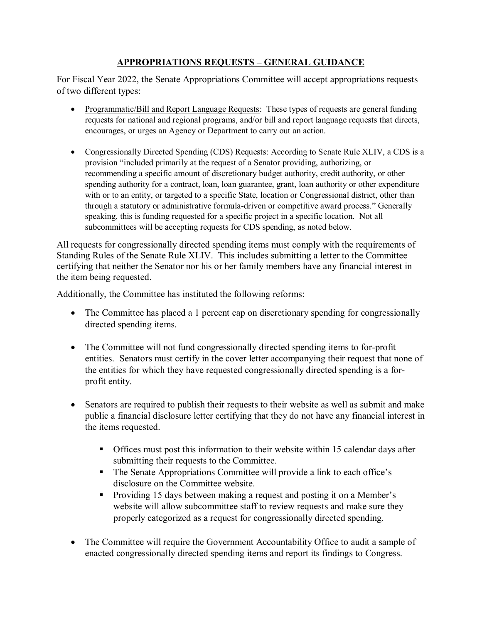## **APPROPRIATIONS REQUESTS – GENERAL GUIDANCE**

For Fiscal Year 2022, the Senate Appropriations Committee will accept appropriations requests of two different types:

- Programmatic/Bill and Report Language Requests: These types of requests are general funding requests for national and regional programs, and/or bill and report language requests that directs, encourages, or urges an Agency or Department to carry out an action.
- Congressionally Directed Spending (CDS) Requests: According to Senate Rule XLIV, a CDS is a provision "included primarily at the request of a Senator providing, authorizing, or recommending a specific amount of discretionary budget authority, credit authority, or other spending authority for a contract, loan, loan guarantee, grant, loan authority or other expenditure with or to an entity, or targeted to a specific State, location or Congressional district, other than through a statutory or administrative formula-driven or competitive award process." Generally speaking, this is funding requested for a specific project in a specific location. Not all subcommittees will be accepting requests for CDS spending, as noted below.

All requests for congressionally directed spending items must comply with the requirements of Standing Rules of the Senate Rule XLIV. This includes submitting a letter to the Committee certifying that neither the Senator nor his or her family members have any financial interest in the item being requested.

Additionally, the Committee has instituted the following reforms:

- The Committee has placed a 1 percent cap on discretionary spending for congressionally directed spending items.
- The Committee will not fund congressionally directed spending items to for-profit entities. Senators must certify in the cover letter accompanying their request that none of the entities for which they have requested congressionally directed spending is a forprofit entity.
- Senators are required to publish their requests to their website as well as submit and make public a financial disclosure letter certifying that they do not have any financial interest in the items requested.
	- Offices must post this information to their website within 15 calendar days after submitting their requests to the Committee.
	- The Senate Appropriations Committee will provide a link to each office's disclosure on the Committee website.
	- **Providing 15 days between making a request and posting it on a Member's** website will allow subcommittee staff to review requests and make sure they properly categorized as a request for congressionally directed spending.
- The Committee will require the Government Accountability Office to audit a sample of enacted congressionally directed spending items and report its findings to Congress.